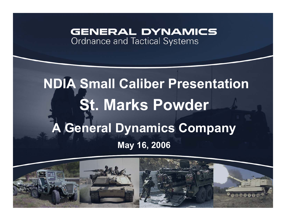#### **GENERAL DYNAMICS Ordnance and Tactical Systems**

# **St. Marks Powder A General Dynamics Company May 16, 2006 NDIA Small Caliber Presentation**

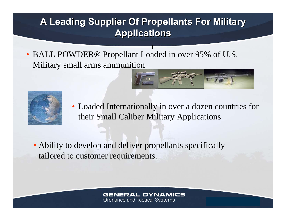## **A Leading Supplier Of Propellants For Military A Leading Supplier Of Propellants For Military Applications Applications**

**I**

• BALL POWDER® Propellant Loaded in over 95% of U.S. Military small arms ammunition



• Loaded Internationally in over a dozen countries for their Small Caliber Military Applications

• Ability to develop and deliver propellants specifically tailored to customer requirements.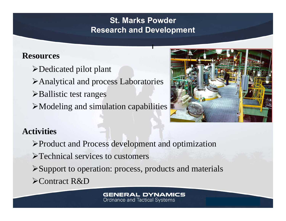#### **St. Marks PowderResearch and Development**

**I**

#### **Resources**

- ¾Dedicated pilot plant
- ¾Analytical and process Laboratories
- $\triangleright$  Ballistic test ranges
- $\triangleright$  Modeling and simulation capabilities



### **Activities**

- ¾Product and Process development and optimization
- ¾Technical services to customers
- ¾Support to operation: process, products and materials ¾Contract R&D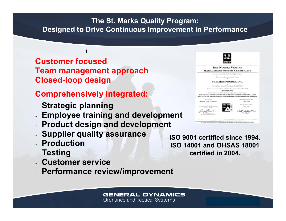#### **The St. Marks Quality Program: Designed to Drive Continuous Improvement in Performance**

#### **Customer focused Team management approach Closed-loop design**

**I**

#### **Comprehensively integrated:**

- **Strategic planning**
- **Employee training and development**
- **Product design and development**
- **Supplier quality assurance**
- **Production**
- **Testing**
- **Customer service**
- •**Performance review/improvement**

**GENERAL DYNAMICS Ordnance and Tactical Systems** 



**DET NORSKE VERITAS MANAGEMENT SYSTEM CERTIFICATE** Geralisan No. (2007-089) 92003-923003-BAB This is to curtily that the Quality System ST. MARKS POWDER, INC. 120 OK & Senat Read 905, St. Market III, WHIAT HAVE diameters in Christian Stickers 150 9001:2000

#### The Corollege is said for the following produc-THE DESIGN, MANUFACTURE AND SUPPLY OF SOLID GUN PROPERLANT AND RELATED TECHNOLOGIES FOR MILITARY AND COMMERCIAL MARKETS Rousson, Texas; 29 Mar 2005 2 May 2004 **Lin May 1984**

**ISO 9001 certified since 1994. ISO 14001 and OHSAS 18001 certified in 2004.**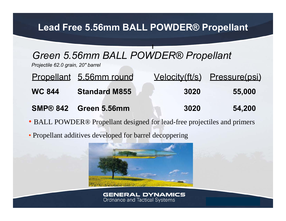### **Lead Free 5.56mm BALL POWDER® Propellant**

**I**

## *Green 5.56mm BALL POWDER® Propellant*

*Projectile 62.0 grain, 20" barrel*

- Propellant 5.56mm round Velocity(ft/s) Pressure(psi) **WC 844 Standard M855 3020 55,000 SMP® 842 Green 5.56mm 3020 54,200**
- BALL POWDER® Propellant designed for lead-free projectiles and primers
- Propellant additives developed for barrel decoppering

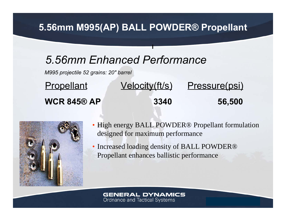### **5.56mm M995(AP) BALL POWDER® Propellant**

**I**

## *5.56mm Enhanced Performance*

*M995 projectile 52 grains: 20" barrel*

| <b>Propellant</b>  | <u>Velocity(ft/s)</u> | Pressure(psi) |
|--------------------|-----------------------|---------------|
| <b>WCR 845® AP</b> | 3340                  | 56,500        |



- High energy BALL POWDER<sup>®</sup> Propellant formulation designed for maximum performance
- Increased loading density of BALL POWDER<sup>®</sup> Propellant enhances ballistic performance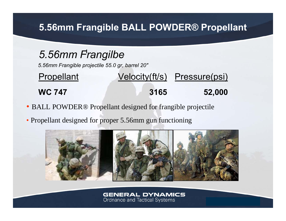### **5.56mm Frangible BALL POWDER® Propellant**

## **I** *5.56mm Frangilbe*

*5.56mm Frangible projectile 55.0 gr, barrel 20"*

## Propellant Velocity(ft/s) Pressure(psi) **WC 747 3165 52,000**

- BALL POWDER® Propellant designed for frangible projectile
- Propellant designed for proper 5.56mm gun functioning

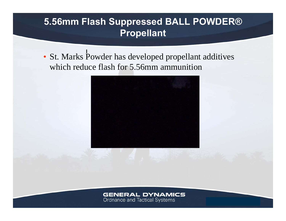### **5.56mm Flash Suppressed BALL POWDER® Propellant**

**I** • St. Marks Powder has developed propellant additives which reduce flash for 5.56mm ammunition



#### **GENERAL DYNAMICS**

Ordnance and Tactical Systems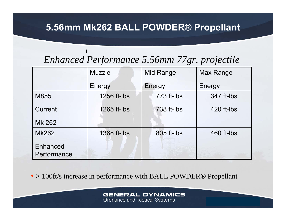### **5.56mm Mk262 BALL POWDER® Propellant**

## *Enhanced Performance 5.56mm 77gr. projectile*

**I**

|                                | <b>Muzzle</b> | Mid Range  | <b>Max Range</b> |
|--------------------------------|---------------|------------|------------------|
|                                | Energy        | Energy     | Energy           |
| M855                           | 1256 ft-lbs   | 773 ft-lbs | 347 ft-lbs       |
| Current                        | 1265 ft-lbs   | 738 ft-lbs | 420 ft-lbs       |
| Mk 262                         |               |            |                  |
| <b>Mk262</b>                   | 1368 ft-lbs   | 805 ft-lbs | 460 ft-lbs       |
| <b>Enhanced</b><br>Performance |               |            |                  |

• > 100ft/s increase in performance with BALL POWDER® Propellant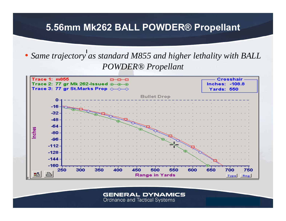### **5.56mm Mk262 BALL POWDER® Propellant**

### • Same trajectory as standard M855 and higher lethality with BALL *POWDER® Propellant*

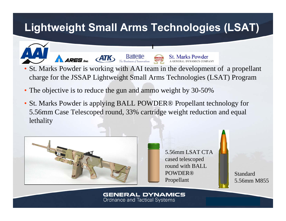## **Lightweight Small Arms Technologies (LSAT)**

**I**



 $B$ affelle

• The objective is to reduce the gun and ammo weight by 30-50%

**ATK** 

• St. Marks Powder is applying BALL POWDER® Propellant technology for 5.56mm Case Telescoped round, 33% cartridge weight reduction and equal lethality

**GENERAL DYNAMICS** 

**Ordnance and Tactical Systems** 



**ARES** be

5.56mm LSAT CTA cased telescoped round with BALL POWDER® Propellant

**St. Marks Powder** 

Standard 5.56mm M855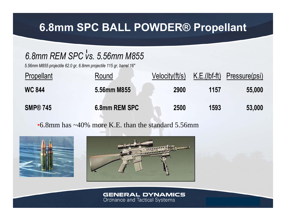## **6.8mm SPC BALL POWDER® Propellant**

## **I** *6.8mm REM SPC vs. 5.56mm M855*

*5.56mm M855 projectile 62.0 gr, 6.8mm projectile 115 gr, barrel 16"*

| <b>Propellant</b> | Round         | Velocity(ft/s) |      | K.E.(lbf-ft) Pressure(psi) |
|-------------------|---------------|----------------|------|----------------------------|
| <b>WC 844</b>     | 5.56mm M855   | 2900           | 1157 | 55,000                     |
| <b>SMP® 745</b>   | 6.8mm REM SPC | 2500           | 1593 | 53,000                     |

•6.8mm has ~40% more K.E. than the standard 5.56mm



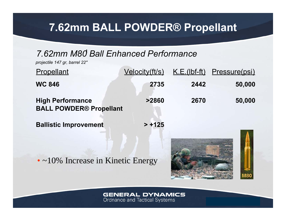## **7.62mm BALL POWDER® Propellant**

#### **I** *7.62mm M80 Ball Enhanced Performance*

*projectile 147 gr, barrel 22"*

| Propellant                                                | <u>Velocity(ft/s)</u> |      | <u>K.E.(Ibf-ft)</u> Pressure(psi) |
|-----------------------------------------------------------|-----------------------|------|-----------------------------------|
| <b>WC 846</b>                                             | 2735                  | 2442 | 50,000                            |
| <b>High Performance</b><br><b>BALL POWDER® Propellant</b> | >2860                 | 2670 | 50,000                            |
| <b>Ballistic Improvement</b>                              | $> +125$              |      |                                   |

• ~10% Increase in Kinetic Energy

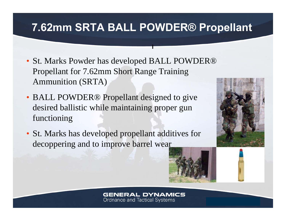## **7.62mm SRTA BALL POWDER® Propellant**

**I**

- St. Marks Powder has developed BALL POWDER® Propellant for 7.62mm Short Range Training Ammunition (SRTA)
- BALL POWDER<sup>®</sup> Propellant designed to give desired ballistic while maintaining proper gun functioning
- St. Marks has developed propellant additives for decoppering and to improve barrel wear



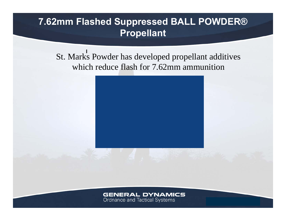### **7.62mm Flashed Suppressed BALL POWDER® Propellant**

St. Marks Powder has developed propellant additives which reduce flash for 7.62mm ammunition



#### **GENERAL DYNAMICS**

Ordnance and Tactical Systems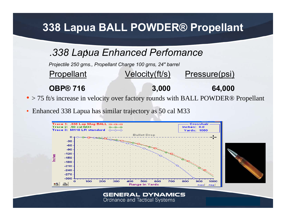## **338 Lapua BALL POWDER® Propellant**

#### **I** *.338 Lapua Enhanced Perfomance*

*Projectile 250 grns., Propellant Charge 100 grns, 24" barrel*

Propellant Velocity(ft/s) Pressure(psi) **OBP® 716 3,000 64,000**

- > 75 ft/s increase in velocity over factory rounds with BALL POWDER® Propellant
- Enhanced 338 Lapua has similar trajectory as 50 cal M33

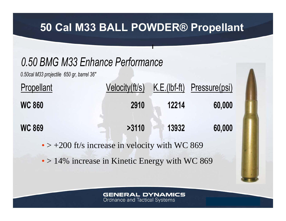## **50 Cal M33 BALL POWDER® Propellant**

**I**

## *0.50 BMG M33 Enhance Performance*

*0.50cal M33 projectile 650 gr, barrel 36"*

| <b>Propellant</b> | Velocity(ft/s) |       | K.E.(Ibf-ft) Pressure(psi) |
|-------------------|----------------|-------|----------------------------|
| <b>WC 860</b>     | 2910           | 12214 | 60,000                     |
| <b>WC 869</b>     | >3110          | 13932 | 60,000                     |

 $\bullet$  > +200 ft/s increase in velocity with WC 869

• > 14% increase in Kinetic Energy with WC 869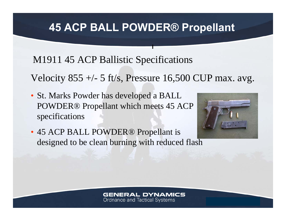## **45 ACP BALL POWDER® Propellant**

**I**

M1911 45 ACP Ballistic Specifications

Velocity  $855 +/- 5$  ft/s, Pressure 16,500 CUP max. avg.

• St. Marks Powder has developed a BALL POWDER® Propellant which meets 45 ACP specifications



• 45 ACP BALL POWDER® Propellant is designed to be clean burning with reduced flash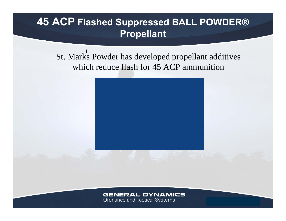## **45 ACP Flashed Suppressed BALL POWDER® Propellant**

St. Marks Powder has developed propellant additives which reduce flash for 45 ACP ammunition



#### **GENERAL DYNAMICS**

Ordnance and Tactical Systems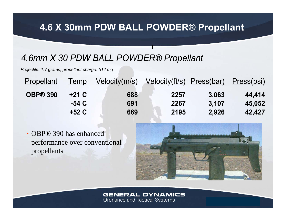### **4.6 X 30mm PDW BALL POWDER® Propellant**

**I**

### *4.6mm X 30 PDW BALL POWDER® Propellant*

*Projectile: 1.7 grams, propellant charge: 512 mg*

| Propellant      | lemp    | Velocity(m/s) | Velocity(ft/s) Press(bar) |       | Press(psi) |
|-----------------|---------|---------------|---------------------------|-------|------------|
| <b>OBP® 390</b> | $+21 C$ | 688           | 2257                      | 3,063 | 44,414     |
|                 | -54 C   | 691           | 2267                      | 3,107 | 45,052     |
|                 | +52 C   | 669           | 2195                      | 2,926 | 42.427     |

• OBP® 390 has enhanced performance over conventional propellants